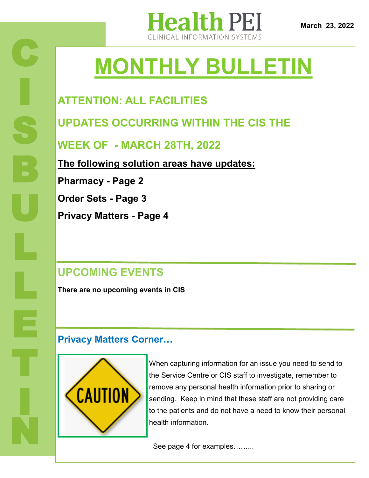

# **MONTHLY BULLETIN**

### **ATTENTION: ALL FACILITIES**

**UPDATES OCCURRING WITHIN THE CIS THE** 

**WEEK OF - MARCH 28TH, 2022**

**The following solution areas have updates:**

**Pharmacy - Page 2**

**Order Sets - Page 3**

**Privacy Matters - Page 4**

### **UPCOMING EVENTS**

**There are no upcoming events in CIS**

### **Privacy Matters Corner…**



When capturing information for an issue you need to send to the Service Centre or CIS staff to investigate, remember to remove any personal health information prior to sharing or sending. Keep in mind that these staff are not providing care to the patients and do not have a need to know their personal health information.

See page 4 for examples……...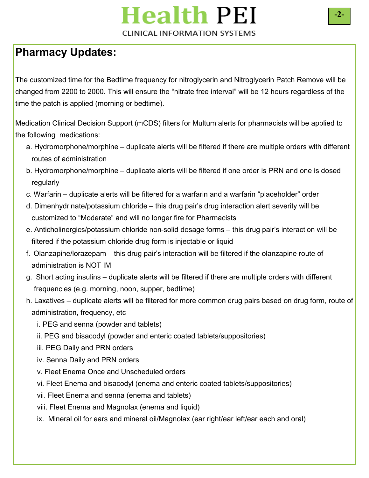### **Health PEI CLINICAL INFORMATION SYSTEMS**

### **Pharmacy Updates:**

The customized time for the Bedtime frequency for nitroglycerin and Nitroglycerin Patch Remove will be changed from 2200 to 2000. This will ensure the "nitrate free interval" will be 12 hours regardless of the time the patch is applied (morning or bedtime).

Medication Clinical Decision Support (mCDS) filters for Multum alerts for pharmacists will be applied to the following medications:

- a. Hydromorphone/morphine duplicate alerts will be filtered if there are multiple orders with different routes of administration
- b. Hydromorphone/morphine duplicate alerts will be filtered if one order is PRN and one is dosed regularly
- c. Warfarin duplicate alerts will be filtered for a warfarin and a warfarin "placeholder" order
- d. Dimenhydrinate/potassium chloride this drug pair's drug interaction alert severity will be customized to "Moderate" and will no longer fire for Pharmacists
- e. Anticholinergics/potassium chloride non-solid dosage forms this drug pair's interaction will be filtered if the potassium chloride drug form is injectable or liquid
- f. Olanzapine/lorazepam this drug pair's interaction will be filtered if the olanzapine route of administration is NOT IM
- g. Short acting insulins duplicate alerts will be filtered if there are multiple orders with different frequencies (e.g. morning, noon, supper, bedtime)
- h. Laxatives duplicate alerts will be filtered for more common drug pairs based on drug form, route of administration, frequency, etc
	- i. PEG and senna (powder and tablets)
	- ii. PEG and bisacodyl (powder and enteric coated tablets/suppositories)
	- iii. PEG Daily and PRN orders
	- iv. Senna Daily and PRN orders
	- v. Fleet Enema Once and Unscheduled orders
	- vi. Fleet Enema and bisacodyl (enema and enteric coated tablets/suppositories)
	- vii. Fleet Enema and senna (enema and tablets)
	- viii. Fleet Enema and Magnolax (enema and liquid)
	- ix. Mineral oil for ears and mineral oil/Magnolax (ear right/ear left/ear each and oral)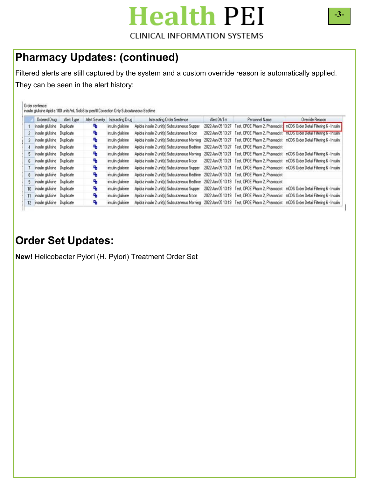# **Health PEI**

#### **CLINICAL INFORMATION SYSTEMS**

### **Pharmacy Updates: (continued)**

Filtered alerts are still captured by the system and a custom override reason is automatically applied. They can be seen in the alert history:

|    | <b>Ordered Drug</b>         | Alert Type | <b>Alert Seventy</b> | Interacting Drug  | Interacting Order Sentence                    | Alert Dt/Tm       | Personnel Name                                   | Override Reason                                                                          |
|----|-----------------------------|------------|----------------------|-------------------|-----------------------------------------------|-------------------|--------------------------------------------------|------------------------------------------------------------------------------------------|
|    | insulin gluisine Duplicate  |            | ъ                    | insulin glulisine | Apidra insulin 2 unit(s) Subcutaneous Supper  | 2022 Jan 05 13:27 |                                                  | Test, CPOE Pharm 2, Pharmacist   mCDS Order Detail Filtering 6 - Insulin                 |
|    | insulin gluisine Duplicate  |            | ъ                    | insulin glulisine | Apidra insulin 2 unit(s) Subcutaneous Noon    | 2022-Jan-05 13:27 |                                                  | Test, CPOE Pharm 2, Pharmacist mLUS Urder Detail Filtering 6 - Insulin                   |
|    | insulin gluisine Duplicate  |            | ъ                    | insulin gluisine  | Apidra insulin 2 unit(s) Subcutaneous Morning | 2022 Jan 05 13:27 |                                                  | Test, CPOE Pharm 2, Pharmacist mCDS Order Detail Filtering 6 - Insulin                   |
|    | insulin gluisine Duplicate  |            | ъ                    | insulin gluisine  | Apidra insulin 2 unit(s) Subcutaneous Bedtime | 2022 Jan-05 13:27 | Test, CPOE Pharm 2, Pharmacist                   |                                                                                          |
|    | insulin glutisine Duplicate |            | ъ                    | insulin glulitine | Apidra insulin 2 unit(s) Subcutaneous Morning | 2022 Jan 05 13:21 |                                                  | Test, CPOE Pharm 2, Pharmacist mCDS Order Detail Filtering 6 - Insulin                   |
| 6  | insulin gluisine Duplicate  |            | ٩,                   | insulin glulisine | Apidra insulin 2 unit(s) Subcutaneous Noon    |                   |                                                  | 2022-Jan-05 13:21 Test, CPOE Pharm 2, Pharmacist mCDS Order Detail Filtering 6 - Insulin |
|    | insulin gluisine Duplicate  |            | ٩,                   | insulin glutisine | Apidra insulin 2 unit(s) Subcutaneous Supper  | 2022 Jan 05 13:21 |                                                  | Test, CPDE Pharm 2, Pharmacist mCDS Order Detail Filtering 6 - Insulin                   |
| 8  | insulin gluisine Duplicate  |            | ъ                    | insulin glutisine | Apidra insulin 2 unit(s) Subcutaneous Bedtime | 2022 Jan 05 13:21 | Test, CPOE Pharm 2, Pharmacist                   |                                                                                          |
| 9. | insulin glulisine Duplicate |            | ъ                    | insulin gluisine  | Apidra insulin 2 unit(s) Subcutaneous Bedtime |                   | 2022-Jan-05 13:19 Test, CPOE Pharm 2, Pharmacist |                                                                                          |
| 10 | insulin glulisine Duplicate |            | ъ                    | insulin glutisine | Apidra insulin 2 unit(s) Subcutaneous Supper  |                   |                                                  | 2022 Jan-05 13:19 Test, CPOE Pharm 2, Pharmacist mCDS Order Detail Filtering 6 - Insulin |
| 11 | insulin glutisme Duplicate  |            | ъ                    | insulin glulisine | Apidra insulin 2 unit(s) Subcutaneous Noon    |                   |                                                  | 2022-Jan-05 13:19 Test, CPOE Pharm 2, Pharmacist mCDS Order Detail Filtering 6 - Insulin |
| 12 | insulin gluisine Duplicate  |            | ъ                    | insulin gluissine | Apidra insulin 2 unit(s) Subcutaneous Morning |                   |                                                  | 2022-Jan-05 13:19 Test, CPOE Pharm 2, Pharmacist mCDS Order Detail Filtering 6 - Insulin |

### **Order Set Updates:**

**New!** Helicobacter Pylori (H. Pylori) Treatment Order Set